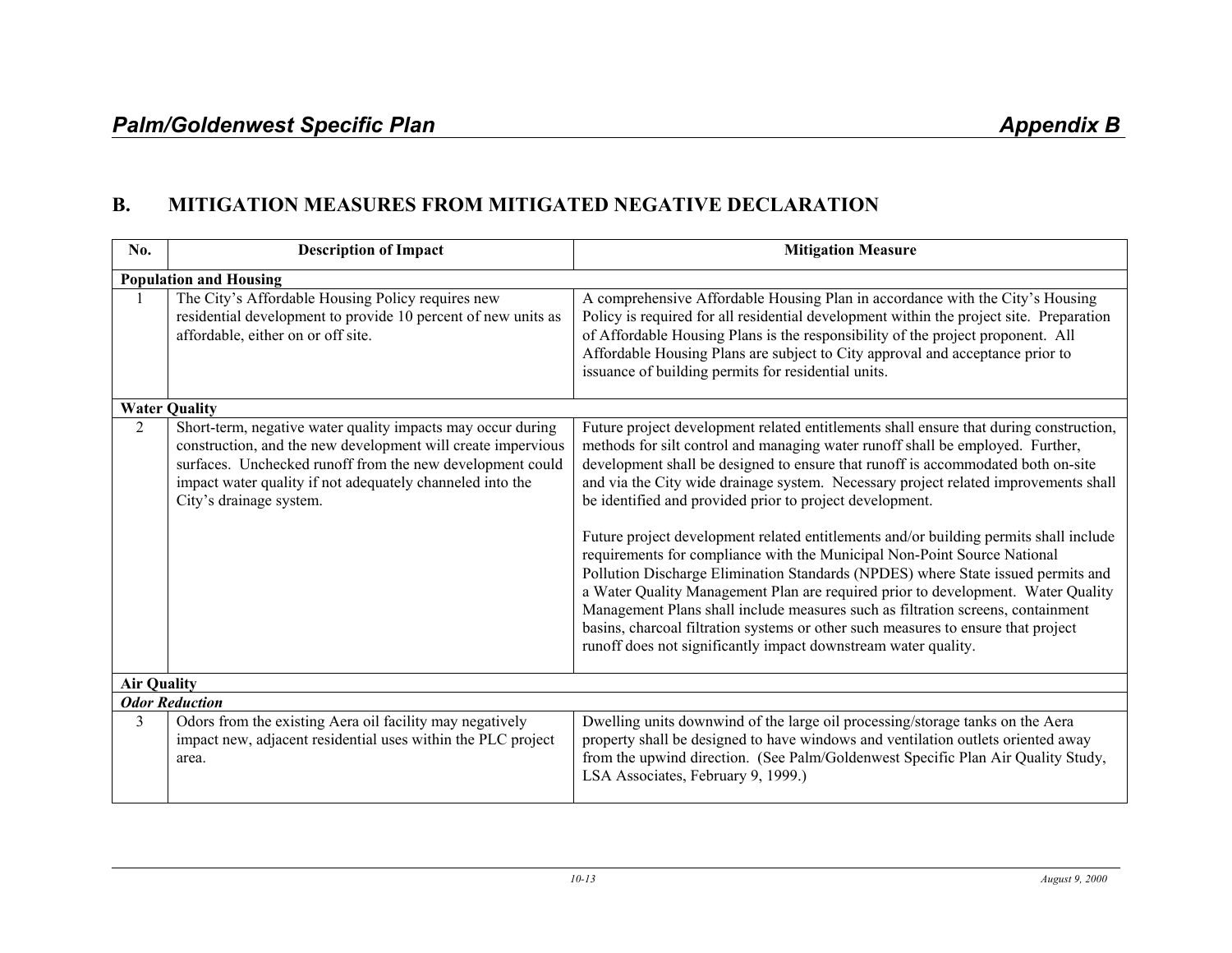## **B. MITIGATION MEASURES FROM MITIGATED NEGATIVE DECLARATION**

| No.                | <b>Description of Impact</b>                                                                                                                                                                                                                                                     | <b>Mitigation Measure</b>                                                                                                                                                                                                                                                                                                                                                                                                                                                                                                                                                                                                                                                                                                                                                                                                                                                                                                                                                                              |  |
|--------------------|----------------------------------------------------------------------------------------------------------------------------------------------------------------------------------------------------------------------------------------------------------------------------------|--------------------------------------------------------------------------------------------------------------------------------------------------------------------------------------------------------------------------------------------------------------------------------------------------------------------------------------------------------------------------------------------------------------------------------------------------------------------------------------------------------------------------------------------------------------------------------------------------------------------------------------------------------------------------------------------------------------------------------------------------------------------------------------------------------------------------------------------------------------------------------------------------------------------------------------------------------------------------------------------------------|--|
|                    | <b>Population and Housing</b>                                                                                                                                                                                                                                                    |                                                                                                                                                                                                                                                                                                                                                                                                                                                                                                                                                                                                                                                                                                                                                                                                                                                                                                                                                                                                        |  |
|                    | The City's Affordable Housing Policy requires new<br>residential development to provide 10 percent of new units as<br>affordable, either on or off site.                                                                                                                         | A comprehensive Affordable Housing Plan in accordance with the City's Housing<br>Policy is required for all residential development within the project site. Preparation<br>of Affordable Housing Plans is the responsibility of the project proponent. All<br>Affordable Housing Plans are subject to City approval and acceptance prior to<br>issuance of building permits for residential units.                                                                                                                                                                                                                                                                                                                                                                                                                                                                                                                                                                                                    |  |
|                    | <b>Water Quality</b>                                                                                                                                                                                                                                                             |                                                                                                                                                                                                                                                                                                                                                                                                                                                                                                                                                                                                                                                                                                                                                                                                                                                                                                                                                                                                        |  |
| 2                  | Short-term, negative water quality impacts may occur during<br>construction, and the new development will create impervious<br>surfaces. Unchecked runoff from the new development could<br>impact water quality if not adequately channeled into the<br>City's drainage system. | Future project development related entitlements shall ensure that during construction,<br>methods for silt control and managing water runoff shall be employed. Further,<br>development shall be designed to ensure that runoff is accommodated both on-site<br>and via the City wide drainage system. Necessary project related improvements shall<br>be identified and provided prior to project development.<br>Future project development related entitlements and/or building permits shall include<br>requirements for compliance with the Municipal Non-Point Source National<br>Pollution Discharge Elimination Standards (NPDES) where State issued permits and<br>a Water Quality Management Plan are required prior to development. Water Quality<br>Management Plans shall include measures such as filtration screens, containment<br>basins, charcoal filtration systems or other such measures to ensure that project<br>runoff does not significantly impact downstream water quality. |  |
| <b>Air Quality</b> |                                                                                                                                                                                                                                                                                  |                                                                                                                                                                                                                                                                                                                                                                                                                                                                                                                                                                                                                                                                                                                                                                                                                                                                                                                                                                                                        |  |
|                    | <b>Odor Reduction</b>                                                                                                                                                                                                                                                            |                                                                                                                                                                                                                                                                                                                                                                                                                                                                                                                                                                                                                                                                                                                                                                                                                                                                                                                                                                                                        |  |
| 3                  | Odors from the existing Aera oil facility may negatively<br>impact new, adjacent residential uses within the PLC project<br>area.                                                                                                                                                | Dwelling units downwind of the large oil processing/storage tanks on the Aera<br>property shall be designed to have windows and ventilation outlets oriented away<br>from the upwind direction. (See Palm/Goldenwest Specific Plan Air Quality Study,<br>LSA Associates, February 9, 1999.)                                                                                                                                                                                                                                                                                                                                                                                                                                                                                                                                                                                                                                                                                                            |  |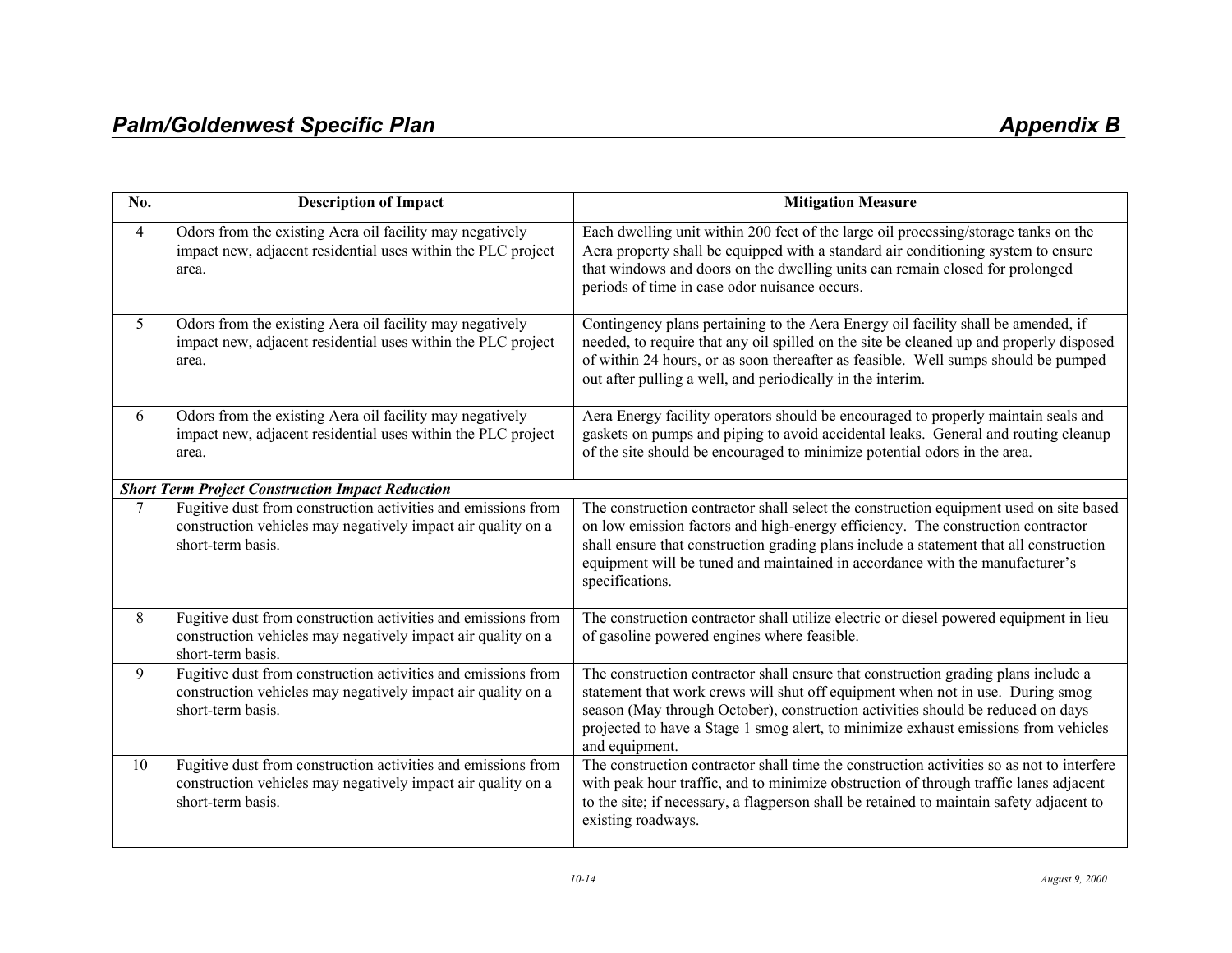| No. | <b>Description of Impact</b>                                                                                                                       | <b>Mitigation Measure</b>                                                                                                                                                                                                                                                                                                                                              |  |
|-----|----------------------------------------------------------------------------------------------------------------------------------------------------|------------------------------------------------------------------------------------------------------------------------------------------------------------------------------------------------------------------------------------------------------------------------------------------------------------------------------------------------------------------------|--|
| 4   | Odors from the existing Aera oil facility may negatively<br>impact new, adjacent residential uses within the PLC project<br>area.                  | Each dwelling unit within 200 feet of the large oil processing/storage tanks on the<br>Aera property shall be equipped with a standard air conditioning system to ensure<br>that windows and doors on the dwelling units can remain closed for prolonged<br>periods of time in case odor nuisance occurs.                                                              |  |
| 5   | Odors from the existing Aera oil facility may negatively<br>impact new, adjacent residential uses within the PLC project<br>area.                  | Contingency plans pertaining to the Aera Energy oil facility shall be amended, if<br>needed, to require that any oil spilled on the site be cleaned up and properly disposed<br>of within 24 hours, or as soon thereafter as feasible. Well sumps should be pumped<br>out after pulling a well, and periodically in the interim.                                       |  |
| 6   | Odors from the existing Aera oil facility may negatively<br>impact new, adjacent residential uses within the PLC project<br>area.                  | Aera Energy facility operators should be encouraged to properly maintain seals and<br>gaskets on pumps and piping to avoid accidental leaks. General and routing cleanup<br>of the site should be encouraged to minimize potential odors in the area.                                                                                                                  |  |
|     | <b>Short Term Project Construction Impact Reduction</b>                                                                                            |                                                                                                                                                                                                                                                                                                                                                                        |  |
| 7   | Fugitive dust from construction activities and emissions from<br>construction vehicles may negatively impact air quality on a<br>short-term basis. | The construction contractor shall select the construction equipment used on site based<br>on low emission factors and high-energy efficiency. The construction contractor<br>shall ensure that construction grading plans include a statement that all construction<br>equipment will be tuned and maintained in accordance with the manufacturer's<br>specifications. |  |
| 8   | Fugitive dust from construction activities and emissions from<br>construction vehicles may negatively impact air quality on a<br>short-term basis. | The construction contractor shall utilize electric or diesel powered equipment in lieu<br>of gasoline powered engines where feasible.                                                                                                                                                                                                                                  |  |
| 9   | Fugitive dust from construction activities and emissions from<br>construction vehicles may negatively impact air quality on a<br>short-term basis. | The construction contractor shall ensure that construction grading plans include a<br>statement that work crews will shut off equipment when not in use. During smog<br>season (May through October), construction activities should be reduced on days<br>projected to have a Stage 1 smog alert, to minimize exhaust emissions from vehicles<br>and equipment.       |  |
| 10  | Fugitive dust from construction activities and emissions from<br>construction vehicles may negatively impact air quality on a<br>short-term basis. | The construction contractor shall time the construction activities so as not to interfere<br>with peak hour traffic, and to minimize obstruction of through traffic lanes adjacent<br>to the site; if necessary, a flagperson shall be retained to maintain safety adjacent to<br>existing roadways.                                                                   |  |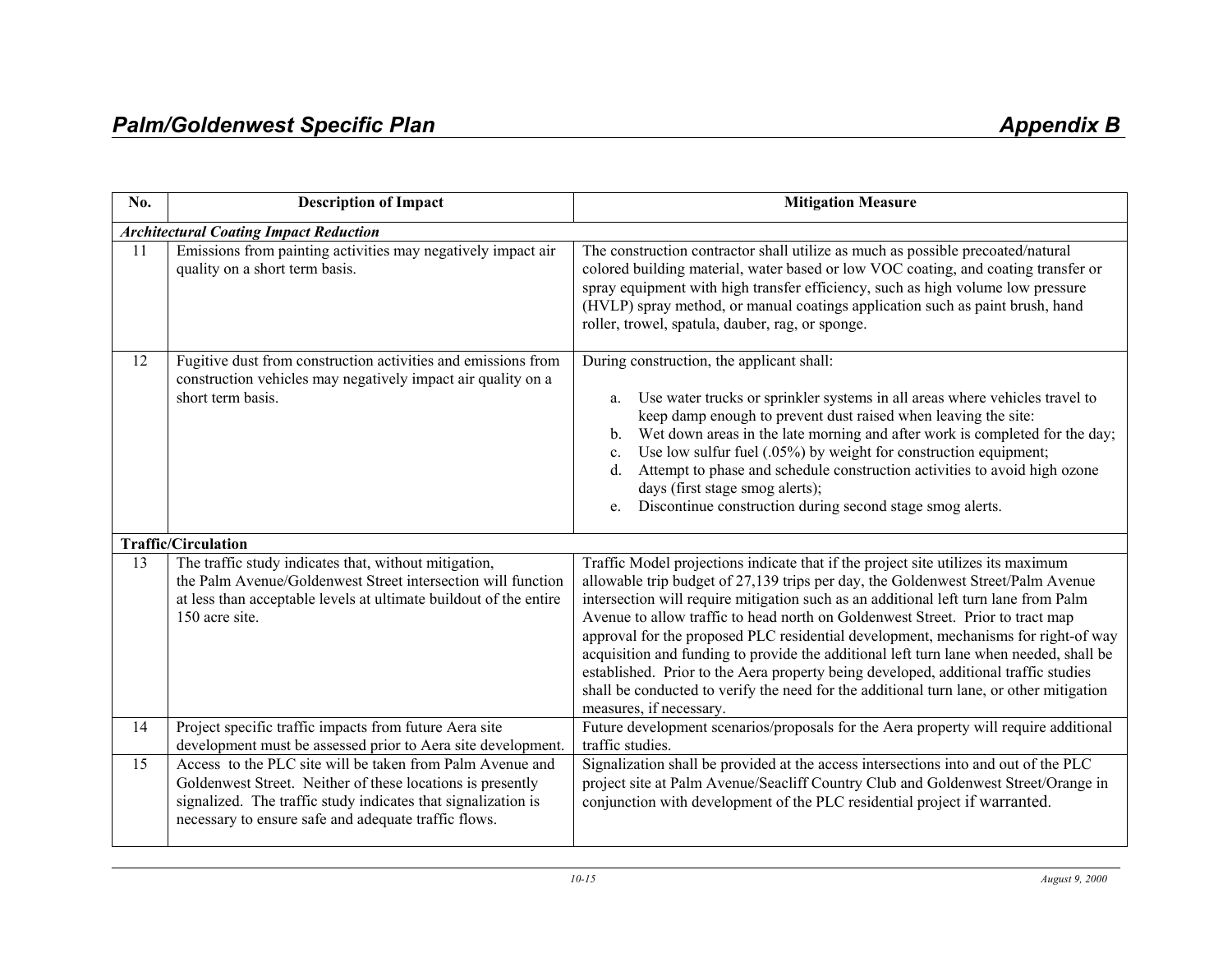| No. | <b>Description of Impact</b>                                                                                                                                                                                                                     | <b>Mitigation Measure</b>                                                                                                                                                                                                                                                                                                                                                                                                                                                                                                                                                                                                                                                                                                                  |
|-----|--------------------------------------------------------------------------------------------------------------------------------------------------------------------------------------------------------------------------------------------------|--------------------------------------------------------------------------------------------------------------------------------------------------------------------------------------------------------------------------------------------------------------------------------------------------------------------------------------------------------------------------------------------------------------------------------------------------------------------------------------------------------------------------------------------------------------------------------------------------------------------------------------------------------------------------------------------------------------------------------------------|
|     | <b>Architectural Coating Impact Reduction</b>                                                                                                                                                                                                    |                                                                                                                                                                                                                                                                                                                                                                                                                                                                                                                                                                                                                                                                                                                                            |
| 11  | Emissions from painting activities may negatively impact air<br>quality on a short term basis.                                                                                                                                                   | The construction contractor shall utilize as much as possible precoated/natural<br>colored building material, water based or low VOC coating, and coating transfer or<br>spray equipment with high transfer efficiency, such as high volume low pressure<br>(HVLP) spray method, or manual coatings application such as paint brush, hand<br>roller, trowel, spatula, dauber, rag, or sponge.                                                                                                                                                                                                                                                                                                                                              |
| 12  | Fugitive dust from construction activities and emissions from<br>construction vehicles may negatively impact air quality on a<br>short term basis.                                                                                               | During construction, the applicant shall:<br>Use water trucks or sprinkler systems in all areas where vehicles travel to<br>a.<br>keep damp enough to prevent dust raised when leaving the site:<br>Wet down areas in the late morning and after work is completed for the day;<br>$\mathbf{b}$ .<br>Use low sulfur fuel $(.05%)$ by weight for construction equipment;<br>$\mathbf{c}$ .<br>Attempt to phase and schedule construction activities to avoid high ozone<br>d.<br>days (first stage smog alerts);<br>Discontinue construction during second stage smog alerts.<br>e.                                                                                                                                                         |
|     | <b>Traffic/Circulation</b>                                                                                                                                                                                                                       |                                                                                                                                                                                                                                                                                                                                                                                                                                                                                                                                                                                                                                                                                                                                            |
| 13  | The traffic study indicates that, without mitigation,<br>the Palm Avenue/Goldenwest Street intersection will function<br>at less than acceptable levels at ultimate buildout of the entire<br>150 acre site.                                     | Traffic Model projections indicate that if the project site utilizes its maximum<br>allowable trip budget of 27,139 trips per day, the Goldenwest Street/Palm Avenue<br>intersection will require mitigation such as an additional left turn lane from Palm<br>Avenue to allow traffic to head north on Goldenwest Street. Prior to tract map<br>approval for the proposed PLC residential development, mechanisms for right-of way<br>acquisition and funding to provide the additional left turn lane when needed, shall be<br>established. Prior to the Aera property being developed, additional traffic studies<br>shall be conducted to verify the need for the additional turn lane, or other mitigation<br>measures, if necessary. |
| 14  | Project specific traffic impacts from future Aera site<br>development must be assessed prior to Aera site development.                                                                                                                           | Future development scenarios/proposals for the Aera property will require additional<br>traffic studies.                                                                                                                                                                                                                                                                                                                                                                                                                                                                                                                                                                                                                                   |
| 15  | Access to the PLC site will be taken from Palm Avenue and<br>Goldenwest Street. Neither of these locations is presently<br>signalized. The traffic study indicates that signalization is<br>necessary to ensure safe and adequate traffic flows. | Signalization shall be provided at the access intersections into and out of the PLC<br>project site at Palm Avenue/Seacliff Country Club and Goldenwest Street/Orange in<br>conjunction with development of the PLC residential project if warranted.                                                                                                                                                                                                                                                                                                                                                                                                                                                                                      |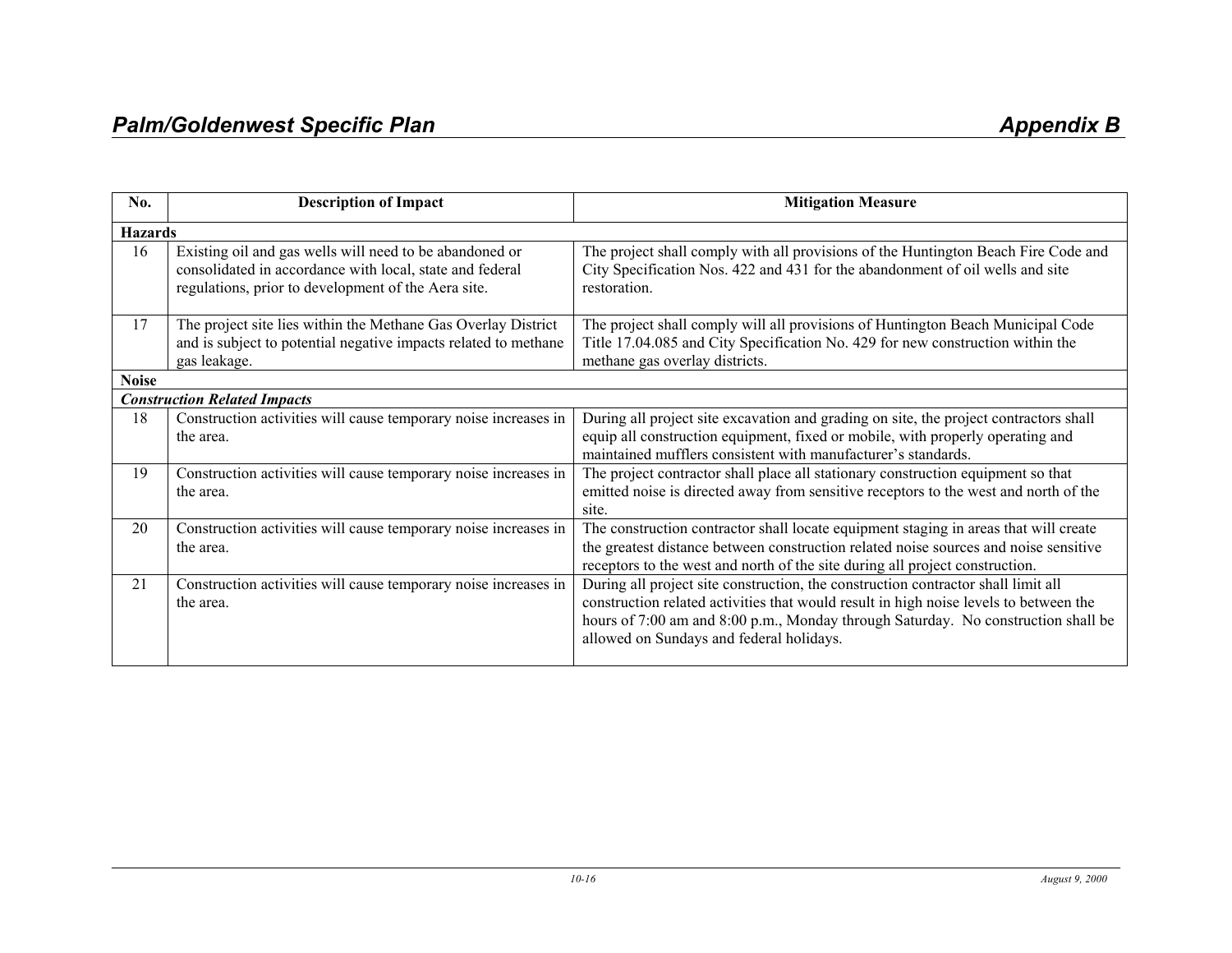| No.            | <b>Description of Impact</b>                                                                                                                                               | <b>Mitigation Measure</b>                                                                                                                                                                                                                                                                                   |
|----------------|----------------------------------------------------------------------------------------------------------------------------------------------------------------------------|-------------------------------------------------------------------------------------------------------------------------------------------------------------------------------------------------------------------------------------------------------------------------------------------------------------|
| <b>Hazards</b> |                                                                                                                                                                            |                                                                                                                                                                                                                                                                                                             |
| 16             | Existing oil and gas wells will need to be abandoned or<br>consolidated in accordance with local, state and federal<br>regulations, prior to development of the Aera site. | The project shall comply with all provisions of the Huntington Beach Fire Code and<br>City Specification Nos. 422 and 431 for the abandonment of oil wells and site<br>restoration.                                                                                                                         |
| 17             | The project site lies within the Methane Gas Overlay District<br>and is subject to potential negative impacts related to methane<br>gas leakage.                           | The project shall comply will all provisions of Huntington Beach Municipal Code<br>Title 17.04.085 and City Specification No. 429 for new construction within the<br>methane gas overlay districts.                                                                                                         |
| <b>Noise</b>   |                                                                                                                                                                            |                                                                                                                                                                                                                                                                                                             |
|                | <b>Construction Related Impacts</b>                                                                                                                                        |                                                                                                                                                                                                                                                                                                             |
| 18             | Construction activities will cause temporary noise increases in<br>the area.                                                                                               | During all project site excavation and grading on site, the project contractors shall<br>equip all construction equipment, fixed or mobile, with properly operating and<br>maintained mufflers consistent with manufacturer's standards.                                                                    |
| 19             | Construction activities will cause temporary noise increases in<br>the area.                                                                                               | The project contractor shall place all stationary construction equipment so that<br>emitted noise is directed away from sensitive receptors to the west and north of the<br>site.                                                                                                                           |
| 20             | Construction activities will cause temporary noise increases in<br>the area.                                                                                               | The construction contractor shall locate equipment staging in areas that will create<br>the greatest distance between construction related noise sources and noise sensitive<br>receptors to the west and north of the site during all project construction.                                                |
| 21             | Construction activities will cause temporary noise increases in<br>the area.                                                                                               | During all project site construction, the construction contractor shall limit all<br>construction related activities that would result in high noise levels to between the<br>hours of 7:00 am and 8:00 p.m., Monday through Saturday. No construction shall be<br>allowed on Sundays and federal holidays. |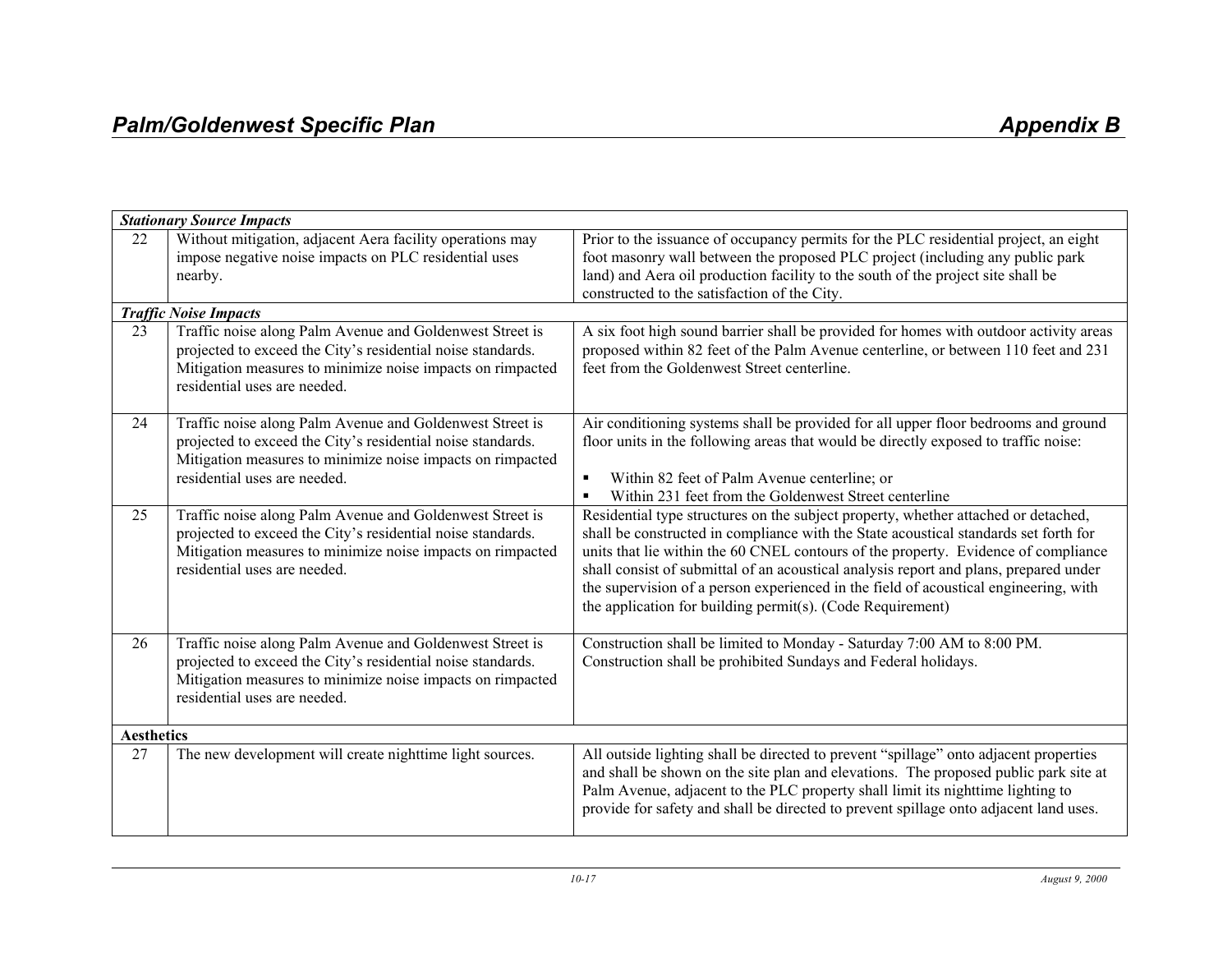| <b>Stationary Source Impacts</b> |                                                                                                                                                                                                                       |                                                                                                                                                                                                                                                                                                                                                                                                                                                                                                                 |
|----------------------------------|-----------------------------------------------------------------------------------------------------------------------------------------------------------------------------------------------------------------------|-----------------------------------------------------------------------------------------------------------------------------------------------------------------------------------------------------------------------------------------------------------------------------------------------------------------------------------------------------------------------------------------------------------------------------------------------------------------------------------------------------------------|
| 22                               | Without mitigation, adjacent Aera facility operations may<br>impose negative noise impacts on PLC residential uses<br>nearby.                                                                                         | Prior to the issuance of occupancy permits for the PLC residential project, an eight<br>foot masonry wall between the proposed PLC project (including any public park<br>land) and Aera oil production facility to the south of the project site shall be<br>constructed to the satisfaction of the City.                                                                                                                                                                                                       |
|                                  | <b>Traffic Noise Impacts</b>                                                                                                                                                                                          |                                                                                                                                                                                                                                                                                                                                                                                                                                                                                                                 |
| 23                               | Traffic noise along Palm Avenue and Goldenwest Street is<br>projected to exceed the City's residential noise standards.<br>Mitigation measures to minimize noise impacts on rimpacted<br>residential uses are needed. | A six foot high sound barrier shall be provided for homes with outdoor activity areas<br>proposed within 82 feet of the Palm Avenue centerline, or between 110 feet and 231<br>feet from the Goldenwest Street centerline.                                                                                                                                                                                                                                                                                      |
| 24                               | Traffic noise along Palm Avenue and Goldenwest Street is<br>projected to exceed the City's residential noise standards.<br>Mitigation measures to minimize noise impacts on rimpacted<br>residential uses are needed. | Air conditioning systems shall be provided for all upper floor bedrooms and ground<br>floor units in the following areas that would be directly exposed to traffic noise:<br>Within 82 feet of Palm Avenue centerline; or<br>Within 231 feet from the Goldenwest Street centerline<br>$\blacksquare$                                                                                                                                                                                                            |
| 25                               | Traffic noise along Palm Avenue and Goldenwest Street is<br>projected to exceed the City's residential noise standards.<br>Mitigation measures to minimize noise impacts on rimpacted<br>residential uses are needed. | Residential type structures on the subject property, whether attached or detached,<br>shall be constructed in compliance with the State acoustical standards set forth for<br>units that lie within the 60 CNEL contours of the property. Evidence of compliance<br>shall consist of submittal of an acoustical analysis report and plans, prepared under<br>the supervision of a person experienced in the field of acoustical engineering, with<br>the application for building permit(s). (Code Requirement) |
| 26                               | Traffic noise along Palm Avenue and Goldenwest Street is<br>projected to exceed the City's residential noise standards.<br>Mitigation measures to minimize noise impacts on rimpacted<br>residential uses are needed. | Construction shall be limited to Monday - Saturday 7:00 AM to 8:00 PM.<br>Construction shall be prohibited Sundays and Federal holidays.                                                                                                                                                                                                                                                                                                                                                                        |
| <b>Aesthetics</b>                |                                                                                                                                                                                                                       |                                                                                                                                                                                                                                                                                                                                                                                                                                                                                                                 |
| 27                               | The new development will create nighttime light sources.                                                                                                                                                              | All outside lighting shall be directed to prevent "spillage" onto adjacent properties<br>and shall be shown on the site plan and elevations. The proposed public park site at<br>Palm Avenue, adjacent to the PLC property shall limit its nighttime lighting to<br>provide for safety and shall be directed to prevent spillage onto adjacent land uses.                                                                                                                                                       |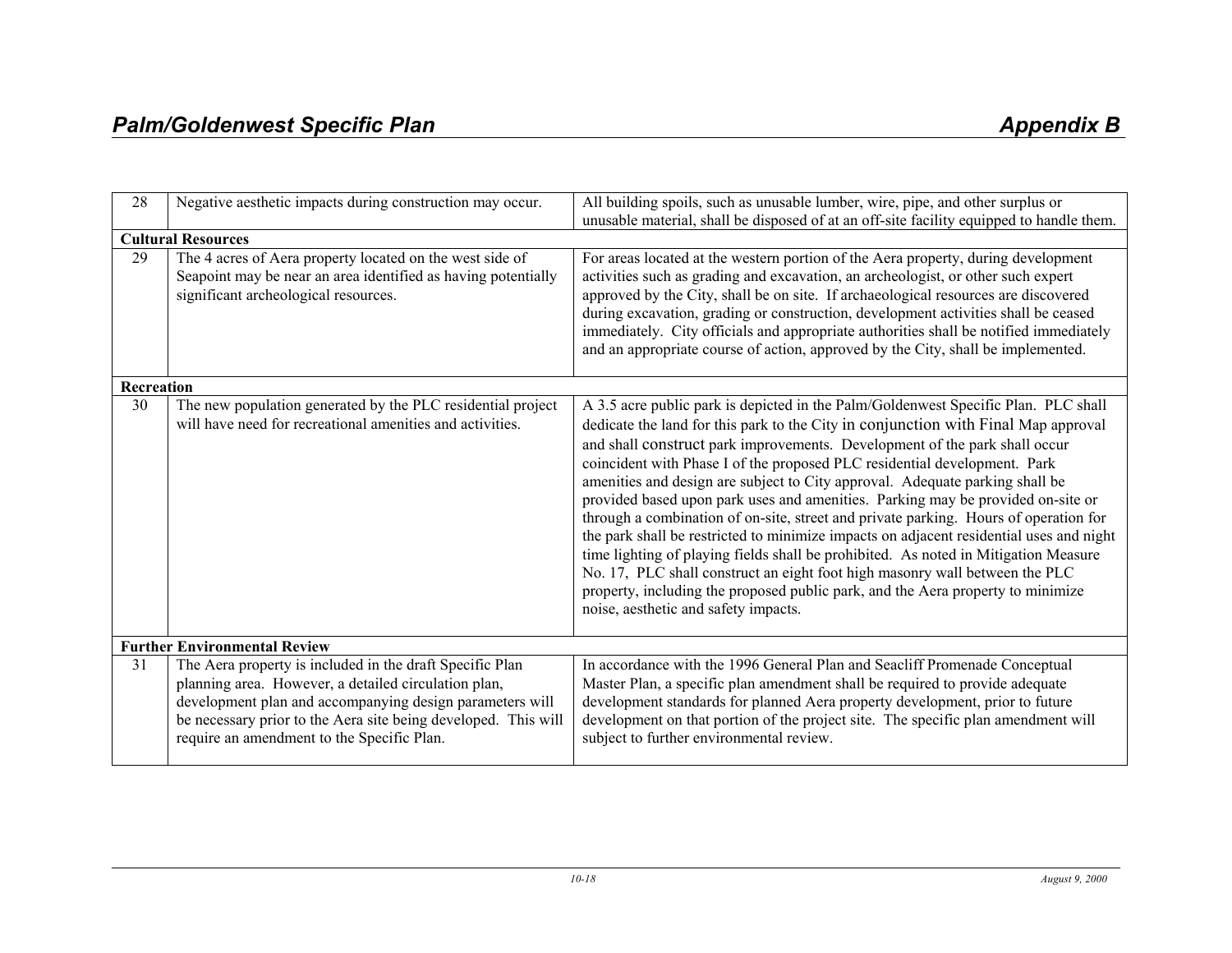| 28                                  | Negative aesthetic impacts during construction may occur.                                                                                                                                                                                                                                    | All building spoils, such as unusable lumber, wire, pipe, and other surplus or<br>unusable material, shall be disposed of at an off-site facility equipped to handle them.                                                                                                                                                                                                                                                                                                                                                                                                                                                                                                                                                                                                                                                                                                                                                                                                                 |
|-------------------------------------|----------------------------------------------------------------------------------------------------------------------------------------------------------------------------------------------------------------------------------------------------------------------------------------------|--------------------------------------------------------------------------------------------------------------------------------------------------------------------------------------------------------------------------------------------------------------------------------------------------------------------------------------------------------------------------------------------------------------------------------------------------------------------------------------------------------------------------------------------------------------------------------------------------------------------------------------------------------------------------------------------------------------------------------------------------------------------------------------------------------------------------------------------------------------------------------------------------------------------------------------------------------------------------------------------|
|                                     | <b>Cultural Resources</b>                                                                                                                                                                                                                                                                    |                                                                                                                                                                                                                                                                                                                                                                                                                                                                                                                                                                                                                                                                                                                                                                                                                                                                                                                                                                                            |
| 29                                  | The 4 acres of Aera property located on the west side of<br>Seapoint may be near an area identified as having potentially<br>significant archeological resources.                                                                                                                            | For areas located at the western portion of the Aera property, during development<br>activities such as grading and excavation, an archeologist, or other such expert<br>approved by the City, shall be on site. If archaeological resources are discovered<br>during excavation, grading or construction, development activities shall be ceased<br>immediately. City officials and appropriate authorities shall be notified immediately<br>and an appropriate course of action, approved by the City, shall be implemented.                                                                                                                                                                                                                                                                                                                                                                                                                                                             |
| Recreation                          |                                                                                                                                                                                                                                                                                              |                                                                                                                                                                                                                                                                                                                                                                                                                                                                                                                                                                                                                                                                                                                                                                                                                                                                                                                                                                                            |
| 30                                  | The new population generated by the PLC residential project<br>will have need for recreational amenities and activities.                                                                                                                                                                     | A 3.5 acre public park is depicted in the Palm/Goldenwest Specific Plan. PLC shall<br>dedicate the land for this park to the City in conjunction with Final Map approval<br>and shall construct park improvements. Development of the park shall occur<br>coincident with Phase I of the proposed PLC residential development. Park<br>amenities and design are subject to City approval. Adequate parking shall be<br>provided based upon park uses and amenities. Parking may be provided on-site or<br>through a combination of on-site, street and private parking. Hours of operation for<br>the park shall be restricted to minimize impacts on adjacent residential uses and night<br>time lighting of playing fields shall be prohibited. As noted in Mitigation Measure<br>No. 17, PLC shall construct an eight foot high masonry wall between the PLC<br>property, including the proposed public park, and the Aera property to minimize<br>noise, aesthetic and safety impacts. |
| <b>Further Environmental Review</b> |                                                                                                                                                                                                                                                                                              |                                                                                                                                                                                                                                                                                                                                                                                                                                                                                                                                                                                                                                                                                                                                                                                                                                                                                                                                                                                            |
| 31                                  | The Aera property is included in the draft Specific Plan<br>planning area. However, a detailed circulation plan,<br>development plan and accompanying design parameters will<br>be necessary prior to the Aera site being developed. This will<br>require an amendment to the Specific Plan. | In accordance with the 1996 General Plan and Seacliff Promenade Conceptual<br>Master Plan, a specific plan amendment shall be required to provide adequate<br>development standards for planned Aera property development, prior to future<br>development on that portion of the project site. The specific plan amendment will<br>subject to further environmental review.                                                                                                                                                                                                                                                                                                                                                                                                                                                                                                                                                                                                                |